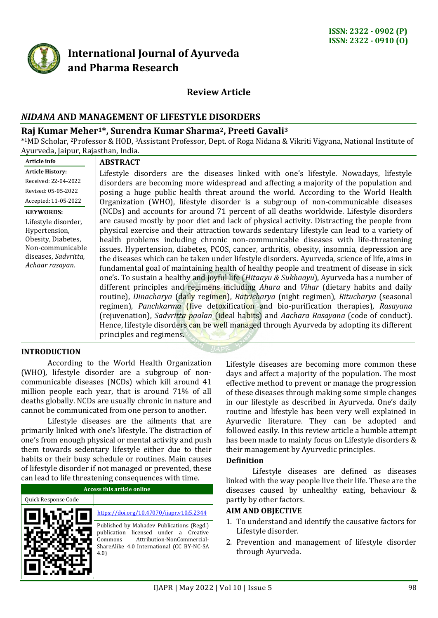

# **International Journal of Ayurveda and Pharma Research**

# **Review Article**

# *NIDANA* **AND MANAGEMENT OF LIFESTYLE DISORDERS**

# **Raj Kumar Meher1\*, Surendra Kumar Sharma2, Preeti Gavali<sup>3</sup>**

\* <sup>1</sup>MD Scholar, <sup>2</sup>Professor & HOD, <sup>3</sup>Assistant Professor, Dept. of Roga Nidana & Vikriti Vigyana, National Institute of Ayurveda, Jaipur, Rajasthan, India.

| Article info            | <b>ABSTRACT</b>                                                                               |
|-------------------------|-----------------------------------------------------------------------------------------------|
| <b>Article History:</b> | Lifestyle disorders are the diseases linked with one's lifestyle. Nowadays, lifestyle         |
| Received: 22-04-2022    | disorders are becoming more widespread and affecting a majority of the population and         |
| Revised: 05-05-2022     | posing a huge public health threat around the world. According to the World Health            |
| Accepted: 11-05-2022    | Organization (WHO), lifestyle disorder is a subgroup of non-communicable diseases             |
| <b>KEYWORDS:</b>        | (NCDs) and accounts for around 71 percent of all deaths worldwide. Lifestyle disorders        |
| Lifestyle disorder,     | are caused mostly by poor diet and lack of physical activity. Distracting the people from     |
| Hypertension,           | physical exercise and their attraction towards sedentary lifestyle can lead to a variety of   |
| Obesity, Diabetes,      | health problems including chronic non-communicable diseases with life-threatening             |
| Non-communicable        | issues. Hypertension, diabetes, PCOS, cancer, arthritis, obesity, insomnia, depression are    |
| diseases, Sadvritta,    | the diseases which can be taken under lifestyle disorders. Ayurveda, science of life, aims in |
| Achaar rasayan.         | fundamental goal of maintaining health of healthy people and treatment of disease in sick     |
|                         | one's. To sustain a healthy and joyful life (Hitaayu & Sukhaayu), Ayurveda has a number of    |
|                         | different principles and regimens including Ahara and Vihar (dietary habits and daily         |
|                         | routine), Dinacharya (daily regimen), Ratricharya (night regimen), Ritucharya (seasonal       |
|                         | regimen), Panchkarma (five detoxification and bio-purification therapies), Rasayana           |
|                         | (rejuvenation), Sadvritta paalan (ideal habits) and Aachara Rasayana (code of conduct).       |
|                         | Hence, lifestyle disorders can be well managed through Ayurveda by adopting its different     |
|                         | principles and regimens.                                                                      |
|                         |                                                                                               |

#### **INTRODUCTION**

According to the World Health Organization (WHO), lifestyle disorder are a subgroup of noncommunicable diseases (NCDs) which kill around 41 million people each year, that is around 71% of all deaths globally. NCDs are usually chronic in nature and cannot be communicated from one person to another.

Lifestyle diseases are the ailments that are primarily linked with one's lifestyle. The distraction of one's from enough physical or mental activity and push them towards sedentary lifestyle either due to their habits or their busy schedule or routines. Main causes of lifestyle disorder if not managed or prevented, these can lead to life threatening consequences with time.

| Access this article online |                                                                                                                                                                                 |  |  |  |
|----------------------------|---------------------------------------------------------------------------------------------------------------------------------------------------------------------------------|--|--|--|
| Quick Response Code        |                                                                                                                                                                                 |  |  |  |
|                            | https://doi.org/10.47070/ijapr.v10i5.2344                                                                                                                                       |  |  |  |
|                            | Published by Mahadev Publications (Regd.)<br>publication licensed under a Creative<br>Attribution-NonCommercial-<br>Commons<br>ShareAlike 4.0 International (CC BY-NC-SA<br>4.0 |  |  |  |

Lifestyle diseases are becoming more common these days and affect a majority of the population. The most effective method to prevent or manage the progression of these diseases through making some simple changes in our lifestyle as described in Ayurveda. One's daily routine and lifestyle has been very well explained in Ayurvedic literature. They can be adopted and followed easily. In this review article a humble attempt has been made to mainly focus on Lifestyle disorders & their management by Ayurvedic principles.

#### **Definition**

Lifestyle diseases are defined as diseases linked with the way people live their life. These are the diseases caused by unhealthy eating, behaviour & partly by other factors.

#### **AIM AND OBJECTIVE**

- 1. To understand and identify the causative factors for Lifestyle disorder.
- 2. Prevention and management of lifestyle disorder through Ayurveda.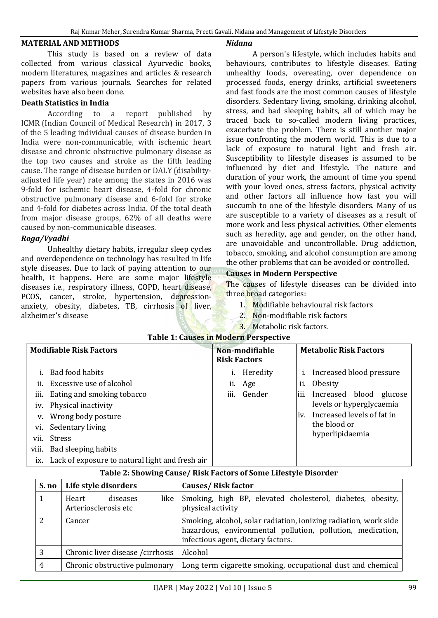#### **MATERIAL AND METHODS**

This study is based on a review of data collected from various classical Ayurvedic books, modern literatures, magazines and articles & research papers from various journals. Searches for related websites have also been done.

#### **Death Statistics in India**

According to a report published by ICMR (Indian Council of Medical Research) in 2017, 3 of the 5 leading individual causes of disease burden in India were non-communicable, with ischemic heart disease and chronic obstructive pulmonary disease as the top two causes and stroke as the fifth leading cause. The range of disease burden or DALY (disabilityadjusted life year) rate among the states in 2016 was 9-fold for ischemic heart disease, 4-fold for chronic obstructive pulmonary disease and 6-fold for stroke and 4-fold for diabetes across India. Of the total death from major disease groups, 62% of all deaths were caused by non-communicable diseases.

### *Roga/Vyadhi*

Unhealthy dietary habits, irregular sleep cycles and overdependence on technology has resulted in life style diseases. Due to lack of paying attention to our health, it happens. Here are some major lifestyle diseases i.e., respiratory illness, COPD, heart disease, PCOS, cancer, stroke, hypertension, depressionanxiety, obesity, diabetes, TB, cirrhosis of liver, alzheimer's disease

#### *Nidana*

A person's lifestyle, which includes habits and behaviours, contributes to lifestyle diseases. Eating unhealthy foods, overeating, over dependence on processed foods, energy drinks, artificial sweeteners and fast foods are the most common causes of lifestyle disorders. Sedentary living, smoking, drinking alcohol, stress, and bad sleeping habits, all of which may be traced back to so-called modern living practices, exacerbate the problem. There is still another major issue confronting the modern world. This is due to a lack of exposure to natural light and fresh air. Susceptibility to lifestyle diseases is assumed to be influenced by diet and lifestyle. The nature and duration of your work, the amount of time you spend with your loved ones, stress factors, physical activity and other factors all influence how fast you will succumb to one of the lifestyle disorders. Many of us are susceptible to a variety of diseases as a result of more work and less physical activities. Other elements such as heredity, age and gender, on the other hand, are unavoidable and uncontrollable. Drug addiction, tobacco, smoking, and alcohol consumption are among the other problems that can be avoided or controlled.

#### **Causes in Modern Perspective**

The causes of lifestyle diseases can be divided into three broad categories:

- 1. Modifiable behavioural risk factors
- 2. Non-modifiable risk factors
- 3. Metabolic risk factors.

| <b>Modifiable Risk Factors</b> |                                                     | Non-modifiable<br><b>Risk Factors</b> |          |     | <b>Metabolic Risk Factors</b> |  |
|--------------------------------|-----------------------------------------------------|---------------------------------------|----------|-----|-------------------------------|--|
|                                | Bad food habits                                     |                                       | Heredity |     | Increased blood pressure      |  |
| Ĥ.                             | Excessive use of alcohol                            | 11.                                   | Age      | Ĥ.  | <b>Obesity</b>                |  |
| iii.                           | Eating and smoking tobacco                          | iii.                                  | Gender   |     | iii. Increased blood glucose  |  |
| iv.                            | Physical inactivity                                 |                                       |          |     | levels or hyperglycaemia      |  |
| V.                             | Wrong body posture                                  |                                       |          | iv. | Increased levels of fat in    |  |
|                                | Sedentary living<br>VI.                             |                                       |          |     | the blood or                  |  |
| vii.                           | <b>Stress</b>                                       |                                       |          |     | hyperlipidaemia               |  |
| viii.                          | Bad sleeping habits                                 |                                       |          |     |                               |  |
|                                | ix. Lack of exposure to natural light and fresh air |                                       |          |     |                               |  |
|                                |                                                     |                                       |          |     |                               |  |

### **Table 1: Causes in Modern Perspective**

#### **Table 2: Showing Cause/ Risk Factors of Some Lifestyle Disorder**

| S. no | Life style disorders                              | <b>Causes/Risk factor</b>                                                                                                                                            |
|-------|---------------------------------------------------|----------------------------------------------------------------------------------------------------------------------------------------------------------------------|
|       | like<br>diseases<br>Heart<br>Arteriosclerosis etc | Smoking, high BP, elevated cholesterol, diabetes, obesity,<br>physical activity                                                                                      |
|       | Cancer                                            | Smoking, alcohol, solar radiation, ionizing radiation, work side<br>hazardous, environmental pollution, pollution, medication,<br>infectious agent, dietary factors. |
| 3     | Chronic liver disease / cirrhosis                 | Alcohol                                                                                                                                                              |
| 4     | Chronic obstructive pulmonary                     | Long term cigarette smoking, occupational dust and chemical                                                                                                          |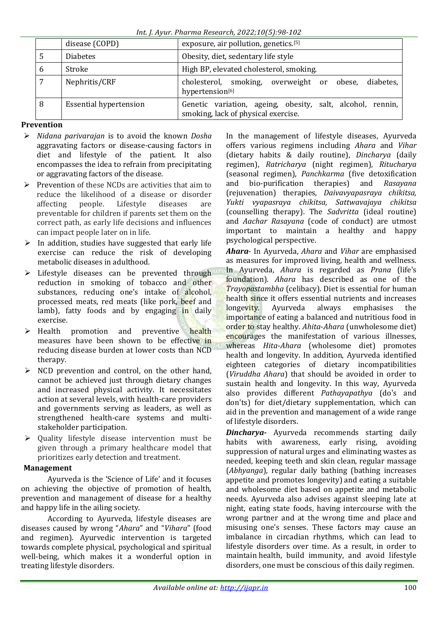*Int. J. Ayur. Pharma Research, 2022;10(5):98-102*

|   | disease (COPD)                | exposure, air pollution, genetics.[5]                                                             |  |  |  |  |
|---|-------------------------------|---------------------------------------------------------------------------------------------------|--|--|--|--|
|   | <b>Diabetes</b>               | Obesity, diet, sedentary life style                                                               |  |  |  |  |
| 6 | Stroke                        | High BP, elevated cholesterol, smoking.                                                           |  |  |  |  |
|   | Nephritis/CRF                 | cholesterol, smoking, overweight or obese,<br>diabetes,<br>hypertension[6]                        |  |  |  |  |
| 8 | <b>Essential hypertension</b> | Genetic variation, ageing, obesity, salt, alcohol, rennin,<br>smoking, lack of physical exercise. |  |  |  |  |

# **Prevention**

- *Nidana parivarajan* is to avoid the known *Dosha* aggravating factors or disease-causing factors in diet and lifestyle of the patient. It also encompasses the idea to refrain from precipitating or aggravating factors of the disease.
- $\triangleright$  Prevention of these NCDs are activities that aim to reduce the likelihood of a disease or disorder affecting people. Lifestyle diseases are preventable for children if parents set them on the correct path, as early life decisions and influences can impact people later on in life.
- $\triangleright$  In addition, studies have suggested that early life exercise can reduce the risk of developing metabolic diseases in adulthood.
- $\triangleright$  Lifestyle diseases can be prevented through reduction in smoking of tobacco and other substances, reducing one's intake of alcohol, processed meats, red meats (like pork, beef and lamb), fatty foods and by engaging in daily exercise.
- $\triangleright$  Health promotion and preventive health measures have been shown to be effective in reducing disease burden at lower costs than NCD therapy.
- $\triangleright$  NCD prevention and control, on the other hand, cannot be achieved just through dietary changes and increased physical activity. It necessitates action at several levels, with health-care providers and governments serving as leaders, as well as strengthened health-care systems and multistakeholder participation.
- $\triangleright$  Ouality lifestyle disease intervention must be given through a primary healthcare model that prioritizes early detection and treatment.

### **Management**

Ayurveda is the 'Science of Life' and it focuses on achieving the objective of promotion of health, prevention and management of disease for a healthy and happy life in the ailing society.

According to Ayurveda, lifestyle diseases are diseases caused by wrong "*Ahara*" and "*Vihara*" (food and regimen). Ayurvedic intervention is targeted towards complete physical, psychological and spiritual well-being, which makes it a wonderful option in treating lifestyle disorders.

In the management of lifestyle diseases, Ayurveda offers various regimens including *Ahara* and *Vihar* (dietary habits & daily routine), *Dincharya* (daily regimen), *Ratricharya* (night regimen), *Ritucharya*  (seasonal regimen), *Panchkarma* (five detoxification and bio-purification therapies) and *Rasayana* (rejuvenation) therapies, *Daivavyapasraya chikitsa, Yukti vyapasraya chikitsa, Sattwavajaya chikitsa* (counselling therapy). The *Sadvritta* (ideal routine) and *Aachar Rasayana* (code of conduct) are utmost important to maintain a healthy and happy psychological perspective.

*Ahara*- In Ayurveda, *Ahara* and *Vihar* are emphasised as measures for improved living, health and wellness. In Ayurveda, *Ahara* is regarded as *Prana* (life's foundation). *Ahara* has described as one of the *Trayopastambha* (celibacy). Diet is essential for human health since it offers essential nutrients and increases longevity. Ayurveda always emphasises the importance of eating a balanced and nutritious food in order to stay healthy. *Ahita*-*Ahara* (unwholesome diet) encourages the manifestation of various illnesses, whereas *Hita*-*Ahara* (wholesome diet) promotes health and longevity. In addition, Ayurveda identified eighteen categories of dietary incompatibilities (*Viruddha Ahara*) that should be avoided in order to sustain health and longevity. In this way, Ayurveda also provides different *Pathayapathya* (do's and don'ts) for diet/dietary supplementation, which can aid in the prevention and management of a wide range of lifestyle disorders.

*Dincharya***-** Ayurveda recommends starting daily habits with awareness, early rising, avoiding suppression of natural urges and eliminating wastes as needed, keeping teeth and skin clean, regular massage (*Abhyanga*), regular daily bathing (bathing increases appetite and promotes longevity) and eating a suitable and wholesome diet based on appetite and metabolic needs. Ayurveda also advises against sleeping late at night, eating state foods, having intercourse with the wrong partner and at the wrong time and place and misusing one's senses. These factors may cause an imbalance in circadian rhythms, which can lead to lifestyle disorders over time. As a result, in order to maintain health, build immunity, and avoid lifestyle disorders, one must be conscious of this daily regimen.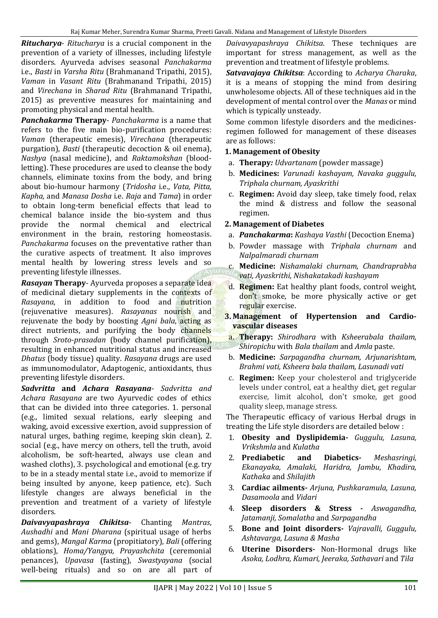*Ritucharya*- *Ritucharya* is a crucial component in the prevention of a variety of illnesses, including lifestyle disorders. Ayurveda advises seasonal *Panchakarma* i.e., *Basti* in *Varsha Ritu* (Brahmanand Tripathi, 2015), *Vaman* in *Vasant Ritu* (Brahmanand Tripathi, 2015) and *Virechana* in *Sharad Ritu* (Brahmanand Tripathi, 2015) as preventive measures for maintaining and promoting physical and mental health.

*Panchakarma* **Therapy**- *Panchakarma* is a name that refers to the five main bio-purification procedures: *Vaman* (therapeutic emesis), *Virechana* (therapeutic purgation), *Basti* (therapeutic decoction & oil enema), *Nashya* (nasal medicine), and *Raktamokshan* (bloodletting). These procedures are used to cleanse the body channels, eliminate toxins from the body, and bring about bio-humour harmony (*Tridosha* i.e., *Vata, Pitta, Kapha,* and *Manasa Dosha* i.e. *Raja* and *Tama*) in order to obtain long-term beneficial effects that lead to chemical balance inside the bio-system and thus provide the normal chemical and electrical environment in the brain, restoring homeostasis. *Panchakarma* focuses on the preventative rather than the curative aspects of treatment. It also improves mental health by lowering stress levels and so preventing lifestyle illnesses.

*Rasayan* **Therapy**- Ayurveda proposes a separate idea of medicinal dietary supplements in the contexts of *Rasayana*, in addition to food and nutrition (rejuvenative measures). *Rasayanas* nourish and rejuvenate the body by boosting *Agni bala*, acting as direct nutrients, and purifying the body channels through *Sroto-prasadan* (body channel purification), resulting in enhanced nutritional status and increased *Dhatus* (body tissue) quality. *Rasayana* drugs are used as immunomodulator, Adaptogenic, antioxidants, thus preventing lifestyle disorders.

*Sadvritta* **and** *Achara Rasayana*- *Sadvritta and Achara Rasayana* are two Ayurvedic codes of ethics that can be divided into three categories. 1. personal (e.g., limited sexual relations, early sleeping and waking, avoid excessive exertion, avoid suppression of natural urges, bathing regime, keeping skin clean), 2. social (e.g., have mercy on others, tell the truth, avoid alcoholism, be soft-hearted, always use clean and washed cloths), 3. psychological and emotional (e.g. try to be in a steady mental state i.e., avoid to memorize if being insulted by anyone, keep patience, etc). Such lifestyle changes are always beneficial in the prevention and treatment of a variety of lifestyle disorders.

*Daivavyapashraya Chikitsa*- Chanting *Mantras*, *Aushadhi* and *Mani Dharana* (spiritual usage of herbs and gems), *Mangal Karma* (propitiatory), *Bali* (offering oblations), *Homa/Yangya, Prayashchita* (ceremonial penances), *Upavasa* (fasting), *Swastyayana* (social well-being rituals) and so on are all part of

*Daivavyapashraya Chikitsa*. These techniques are important for stress management, as well as the prevention and treatment of lifestyle problems.

*Satvavajaya Chikitsa*: According to *Acharya Charaka*, it is a means of stopping the mind from desiring unwholesome objects. All of these techniques aid in the development of mental control over the *Manas* or mind which is typically unsteady.

Some common lifestyle disorders and the medicinesregimen followed for management of these diseases are as follows:

### **1. Management of Obesity**

- a. **Therapy***: Udvartanam* (powder massage)
- b. **Medicines:** *Varunadi kashayam, Navaka guggulu, Triphala churnam, Ayaskrithi*
- c. **Regimen:** Avoid day sleep, take timely food, relax the mind & distress and follow the seasonal regimen.

### **2. Management of Diabetes**

- a. *Panchakarma***:** *Kashaya Vasthi* (Decoction Enema)
- b. Powder massage with *Triphala churnam* and *Nalpalmaradi churnam*
- c. **Medicine:** *Nishamalaki churnam, Chandraprabha vati, Ayaskrithi, Nishakatakadi kashayam*
- d. **Regimen:** Eat healthy plant foods, control weight, don't smoke, be more physically active or get regular exercise.
- **3. Management of Hypertension and Cardiovascular diseases** 
	- a. **Therapy:** *Shirodhara* with *Ksheerabala thailam, Shiropichu* with *Bala thailam* and *Amla* paste.
- b. **Medicine:** *Sarpagandha churnam, Arjunarishtam, Brahmi vati, Ksheera bala thailam, Lasunadi vati*
- c. **Regimen:** Keep your cholesterol and triglyceride levels under control, eat a healthy diet, get regular exercise, limit alcohol, don't smoke, get good quality sleep, manage stress.

The Therapeutic efficacy of various Herbal drugs in treating the Life style disorders are detailed below :

- 1. **Obesity and Dyslipidemia-** *Guggulu, Lasuna, Vrikshmla* and *Kulatha*
- 2. **Prediabetic and Diabetics***- Meshasringi, Ekanayaka, Amalaki, Haridra, Jambu, Khadira, Kathaka* and *Shilajith*
- 3. **Cardiac ailments***- Arjuna, Pushkaramula, Lasuna, Dasamoola* and *Vidari*
- 4. **Sleep disorders & Stress** *- Aswagandha, Jatamanji, Somalatha* and *Sarpagandha*
- 5. **Bone and Joint disorders***- Vajravalli, Guggulu, Ashtavarga, Lasuna & Masha*
- 6. **Uterine Disorders***-* Non-Hormonal drugs like *Asoka, Lodhra, Kumari, Jeeraka, Sathavari* and *Tila*